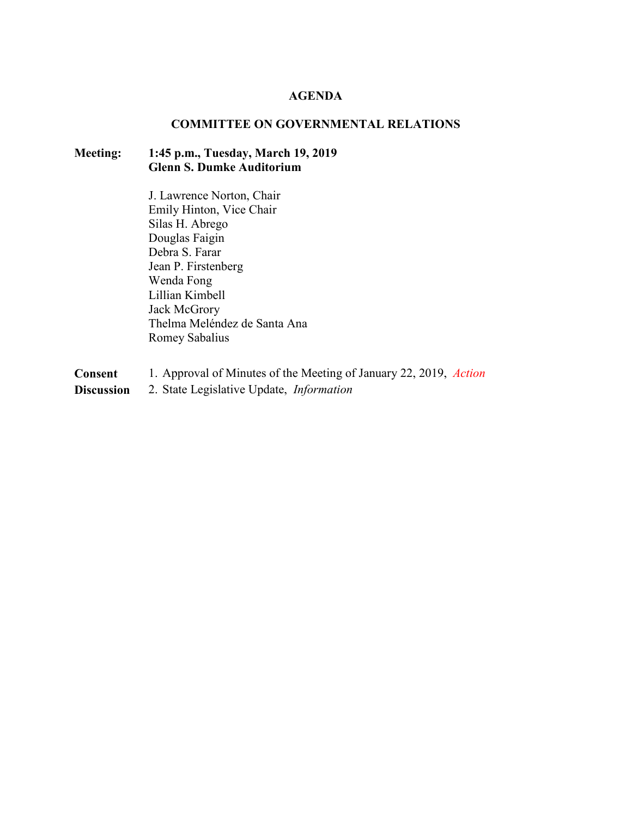#### **AGENDA**

#### **COMMITTEE ON GOVERNMENTAL RELATIONS**

#### **Meeting: 1:45 p.m., Tuesday, March 19, 2019 Glenn S. Dumke Auditorium**

J. Lawrence Norton, Chair Emily Hinton, Vice Chair Silas H. Abrego Douglas Faigin Debra S. Farar Jean P. Firstenberg Wenda Fong Lillian Kimbell Jack McGrory Thelma Meléndez de Santa Ana Romey Sabalius

- **Consent** 1. Approval of Minutes of the Meeting of January 22, 2019, *Action*
- **Discussion** 2. State Legislative Update, *Information*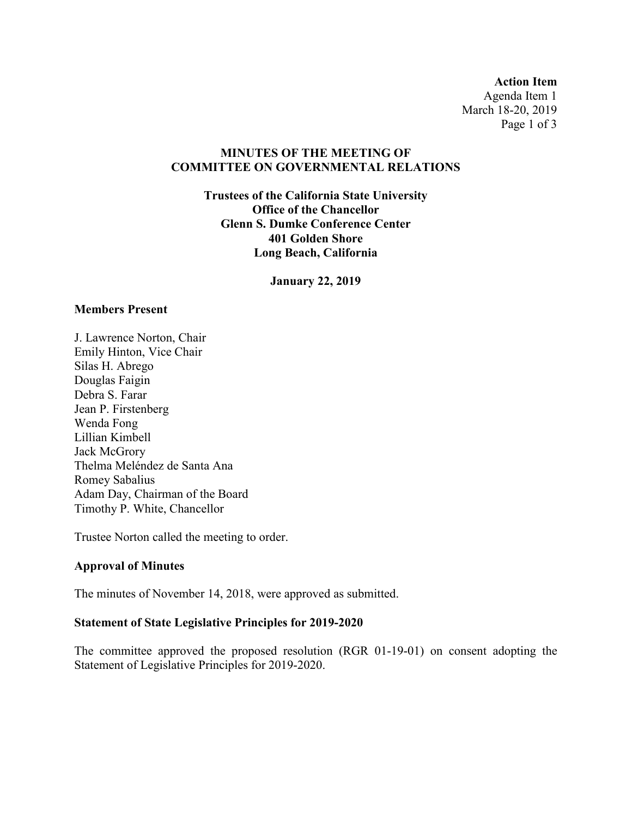**Action Item** Agenda Item 1 March 18-20, 2019 Page 1 of 3

### **MINUTES OF THE MEETING OF COMMITTEE ON GOVERNMENTAL RELATIONS**

**Trustees of the California State University Office of the Chancellor Glenn S. Dumke Conference Center 401 Golden Shore Long Beach, California**

**January 22, 2019**

#### **Members Present**

J. Lawrence Norton, Chair Emily Hinton, Vice Chair Silas H. Abrego Douglas Faigin Debra S. Farar Jean P. Firstenberg Wenda Fong Lillian Kimbell Jack McGrory Thelma Meléndez de Santa Ana Romey Sabalius Adam Day, Chairman of the Board Timothy P. White, Chancellor

Trustee Norton called the meeting to order.

#### **Approval of Minutes**

The minutes of November 14, 2018, were approved as submitted.

#### **Statement of State Legislative Principles for 2019-2020**

The committee approved the proposed resolution (RGR 01-19-01) on consent adopting the Statement of Legislative Principles for 2019-2020.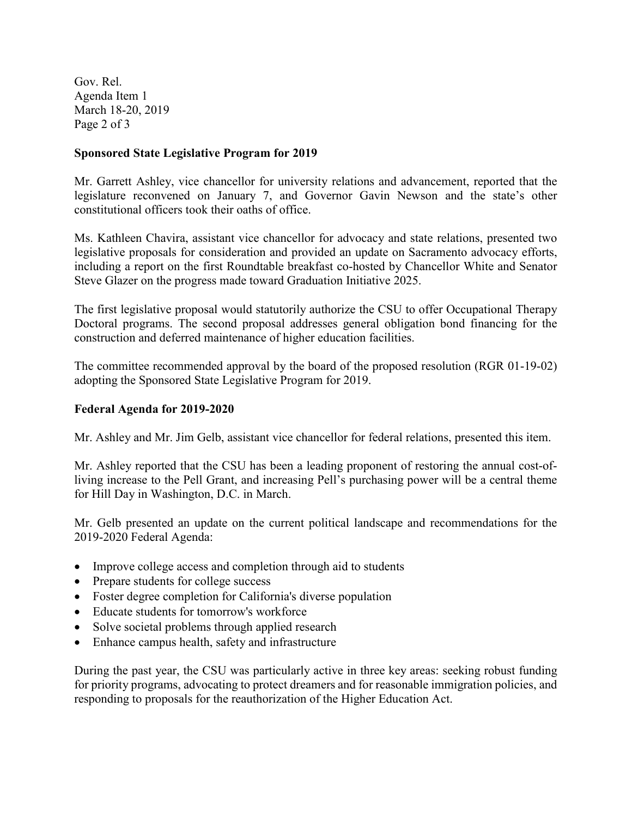Gov. Rel. Agenda Item 1 March 18-20, 2019 Page 2 of 3

#### **Sponsored State Legislative Program for 2019**

Mr. Garrett Ashley, vice chancellor for university relations and advancement, reported that the legislature reconvened on January 7, and Governor Gavin Newson and the state's other constitutional officers took their oaths of office.

Ms. Kathleen Chavira, assistant vice chancellor for advocacy and state relations, presented two legislative proposals for consideration and provided an update on Sacramento advocacy efforts, including a report on the first Roundtable breakfast co-hosted by Chancellor White and Senator Steve Glazer on the progress made toward Graduation Initiative 2025.

The first legislative proposal would statutorily authorize the CSU to offer Occupational Therapy Doctoral programs. The second proposal addresses general obligation bond financing for the construction and deferred maintenance of higher education facilities.

The committee recommended approval by the board of the proposed resolution (RGR 01-19-02) adopting the Sponsored State Legislative Program for 2019.

### **Federal Agenda for 2019-2020**

Mr. Ashley and Mr. Jim Gelb, assistant vice chancellor for federal relations, presented this item.

Mr. Ashley reported that the CSU has been a leading proponent of restoring the annual cost-ofliving increase to the Pell Grant, and increasing Pell's purchasing power will be a central theme for Hill Day in Washington, D.C. in March.

Mr. Gelb presented an update on the current political landscape and recommendations for the 2019-2020 Federal Agenda:

- Improve college access and completion through aid to students
- Prepare students for college success
- Foster degree completion for California's diverse population
- Educate students for tomorrow's workforce
- Solve societal problems through applied research
- Enhance campus health, safety and infrastructure

During the past year, the CSU was particularly active in three key areas: seeking robust funding for priority programs, advocating to protect dreamers and for reasonable immigration policies, and responding to proposals for the reauthorization of the Higher Education Act.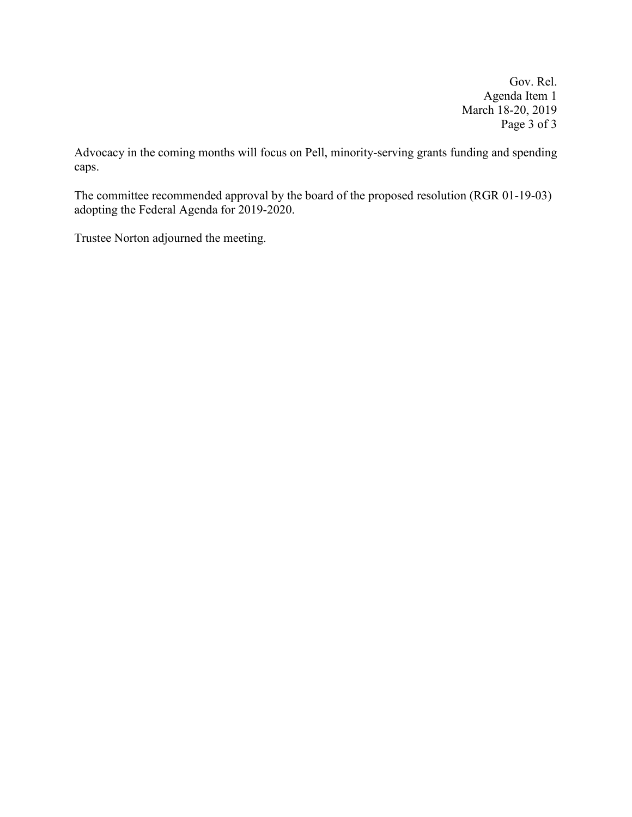Gov. Rel. Agenda Item 1 March 18-20, 2019 Page 3 of 3

Advocacy in the coming months will focus on Pell, minority-serving grants funding and spending caps.

The committee recommended approval by the board of the proposed resolution (RGR 01-19-03) adopting the Federal Agenda for 2019-2020.

Trustee Norton adjourned the meeting.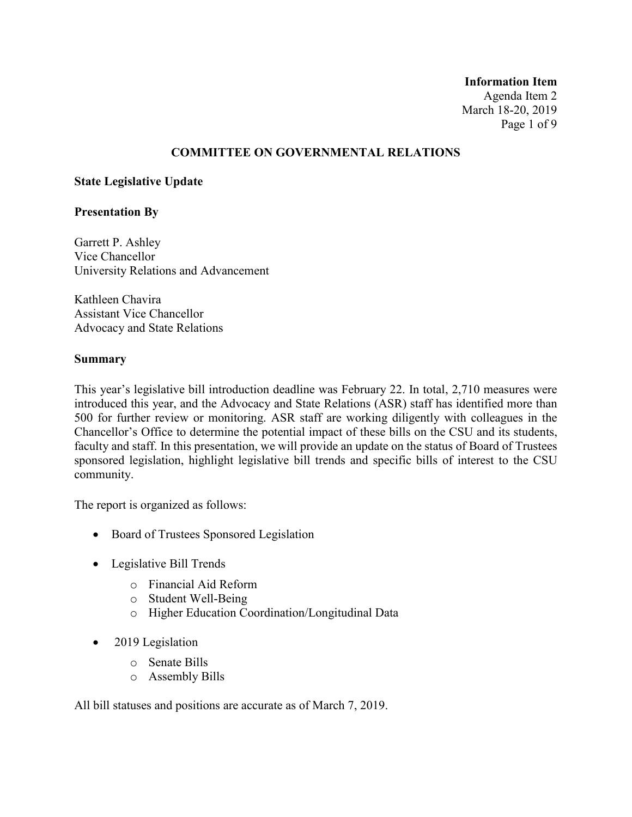#### **Information Item** Agenda Item 2 March 18-20, 2019 Page 1 of 9

#### **COMMITTEE ON GOVERNMENTAL RELATIONS**

#### **State Legislative Update**

#### **Presentation By**

Garrett P. Ashley Vice Chancellor University Relations and Advancement

Kathleen Chavira Assistant Vice Chancellor Advocacy and State Relations

#### **Summary**

This year's legislative bill introduction deadline was February 22. In total, 2,710 measures were introduced this year, and the Advocacy and State Relations (ASR) staff has identified more than 500 for further review or monitoring. ASR staff are working diligently with colleagues in the Chancellor's Office to determine the potential impact of these bills on the CSU and its students, faculty and staff. In this presentation, we will provide an update on the status of Board of Trustees sponsored legislation, highlight legislative bill trends and specific bills of interest to the CSU community.

The report is organized as follows:

- Board of Trustees Sponsored Legislation
- Legislative Bill Trends
	- o Financial Aid Reform
	- o Student Well-Being
	- o Higher Education Coordination/Longitudinal Data
- 2019 Legislation
	- o Senate Bills
	- o Assembly Bills

All bill statuses and positions are accurate as of March 7, 2019.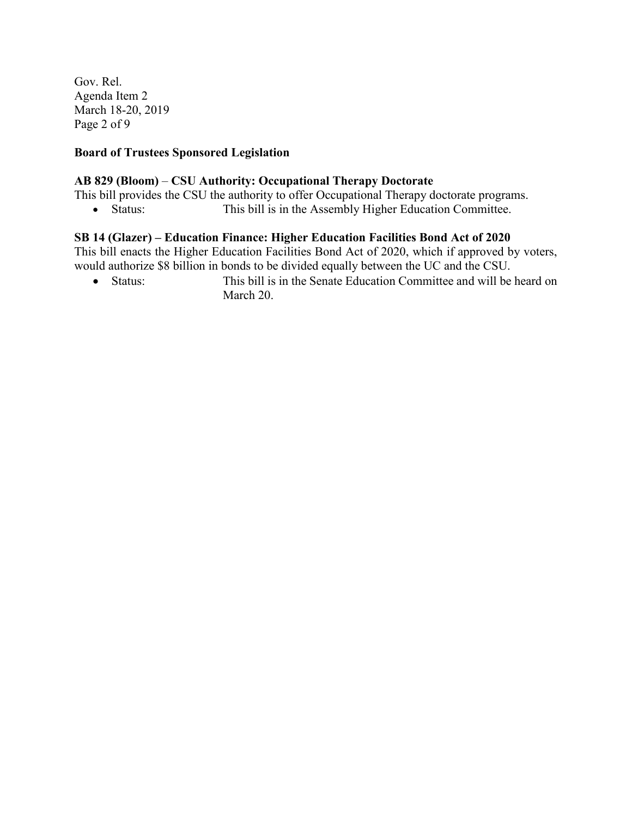Gov. Rel. Agenda Item 2 March 18-20, 2019 Page 2 of 9

#### **Board of Trustees Sponsored Legislation**

#### **AB 829 (Bloom)** – **CSU Authority: Occupational Therapy Doctorate**

This bill provides the CSU the authority to offer Occupational Therapy doctorate programs.

• Status: This bill is in the Assembly Higher Education Committee.

#### **SB 14 (Glazer) – Education Finance: Higher Education Facilities Bond Act of 2020**

This bill enacts the Higher Education Facilities Bond Act of 2020, which if approved by voters, would authorize \$8 billion in bonds to be divided equally between the UC and the CSU.

• Status: This bill is in the Senate Education Committee and will be heard on March 20.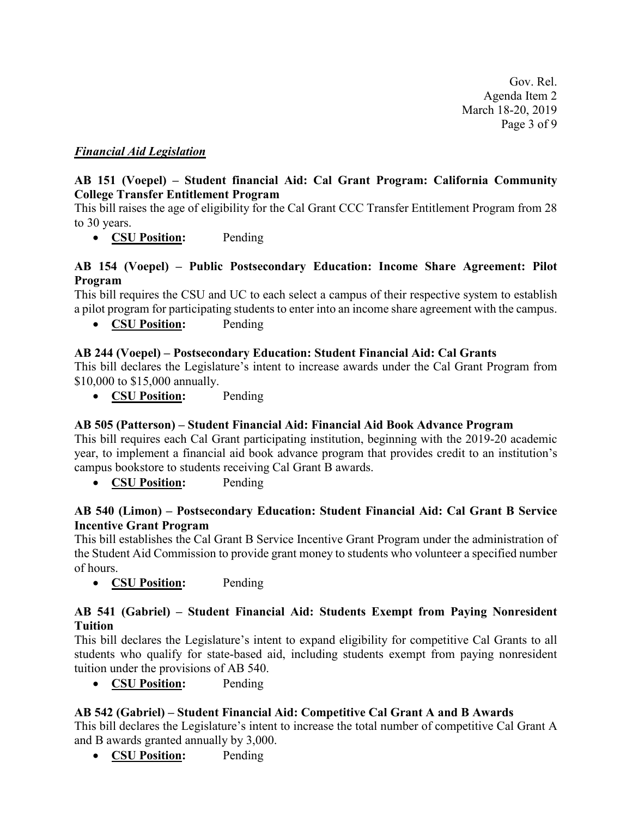Gov. Rel. Agenda Item 2 March 18-20, 2019 Page 3 of 9

# *Financial Aid Legislation*

# **AB 151 (Voepel) – Student financial Aid: Cal Grant Program: California Community College Transfer Entitlement Program**

This bill raises the age of eligibility for the Cal Grant CCC Transfer Entitlement Program from 28 to 30 years.

• **CSU Position:** Pending

## **AB 154 (Voepel) – Public Postsecondary Education: Income Share Agreement: Pilot Program**

This bill requires the CSU and UC to each select a campus of their respective system to establish a pilot program for participating students to enter into an income share agreement with the campus.

• **CSU Position:** Pending

# **AB 244 (Voepel) – Postsecondary Education: Student Financial Aid: Cal Grants**

This bill declares the Legislature's intent to increase awards under the Cal Grant Program from \$10,000 to \$15,000 annually.

• **CSU Position:** Pending

#### **AB 505 (Patterson) – Student Financial Aid: Financial Aid Book Advance Program**

This bill requires each Cal Grant participating institution, beginning with the 2019-20 academic year, to implement a financial aid book advance program that provides credit to an institution's campus bookstore to students receiving Cal Grant B awards.

• **CSU Position:** Pending

### **AB 540 (Limon) – Postsecondary Education: Student Financial Aid: Cal Grant B Service Incentive Grant Program**

This bill establishes the Cal Grant B Service Incentive Grant Program under the administration of the Student Aid Commission to provide grant money to students who volunteer a specified number of hours.

• **CSU Position:** Pending

### **AB 541 (Gabriel) – Student Financial Aid: Students Exempt from Paying Nonresident Tuition**

This bill declares the Legislature's intent to expand eligibility for competitive Cal Grants to all students who qualify for state-based aid, including students exempt from paying nonresident tuition under the provisions of AB 540.

• **CSU Position:** Pending

# **AB 542 (Gabriel) – Student Financial Aid: Competitive Cal Grant A and B Awards**

This bill declares the Legislature's intent to increase the total number of competitive Cal Grant A and B awards granted annually by 3,000.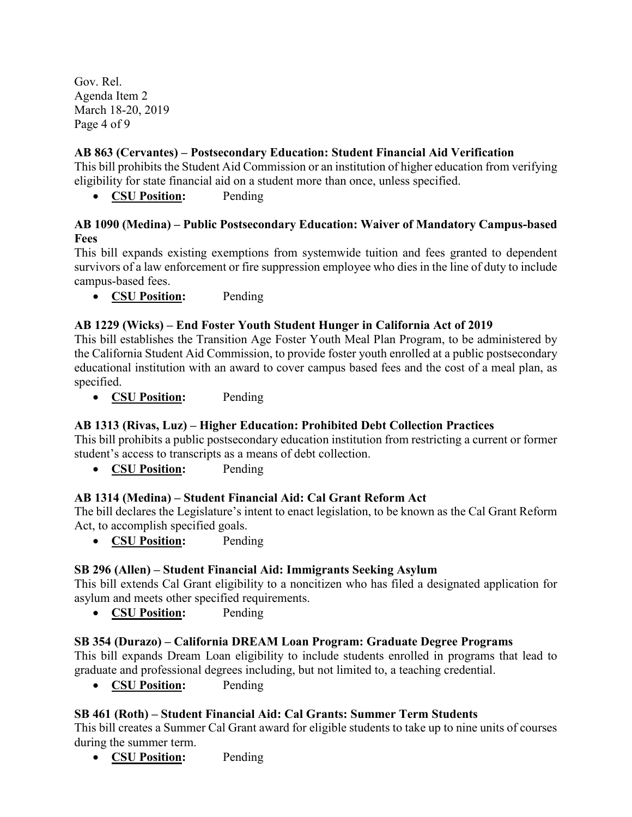Gov. Rel. Agenda Item 2 March 18-20, 2019 Page 4 of 9

# **AB 863 (Cervantes) – Postsecondary Education: Student Financial Aid Verification**

This bill prohibits the Student Aid Commission or an institution of higher education from verifying eligibility for state financial aid on a student more than once, unless specified.

• **CSU Position:** Pending

# **AB 1090 (Medina) – Public Postsecondary Education: Waiver of Mandatory Campus-based Fees**

This bill expands existing exemptions from systemwide tuition and fees granted to dependent survivors of a law enforcement or fire suppression employee who dies in the line of duty to include campus-based fees.

• **CSU Position:** Pending

# **AB 1229 (Wicks) – End Foster Youth Student Hunger in California Act of 2019**

This bill establishes the Transition Age Foster Youth Meal Plan Program, to be administered by the California Student Aid Commission, to provide foster youth enrolled at a public postsecondary educational institution with an award to cover campus based fees and the cost of a meal plan, as specified.

• **CSU Position:** Pending

# **AB 1313 (Rivas, Luz) – Higher Education: Prohibited Debt Collection Practices**

This bill prohibits a public postsecondary education institution from restricting a current or former student's access to transcripts as a means of debt collection.

• **CSU Position:** Pending

# **AB 1314 (Medina) – Student Financial Aid: Cal Grant Reform Act**

The bill declares the Legislature's intent to enact legislation, to be known as the Cal Grant Reform Act, to accomplish specified goals.

• **CSU Position:** Pending

# **SB 296 (Allen) – Student Financial Aid: Immigrants Seeking Asylum**

This bill extends Cal Grant eligibility to a noncitizen who has filed a designated application for asylum and meets other specified requirements.

• **CSU Position:** Pending

# **SB 354 (Durazo) – California DREAM Loan Program: Graduate Degree Programs**

This bill expands Dream Loan eligibility to include students enrolled in programs that lead to graduate and professional degrees including, but not limited to, a teaching credential.

• **CSU Position:** Pending

# **SB 461 (Roth) – Student Financial Aid: Cal Grants: Summer Term Students**

This bill creates a Summer Cal Grant award for eligible students to take up to nine units of courses during the summer term.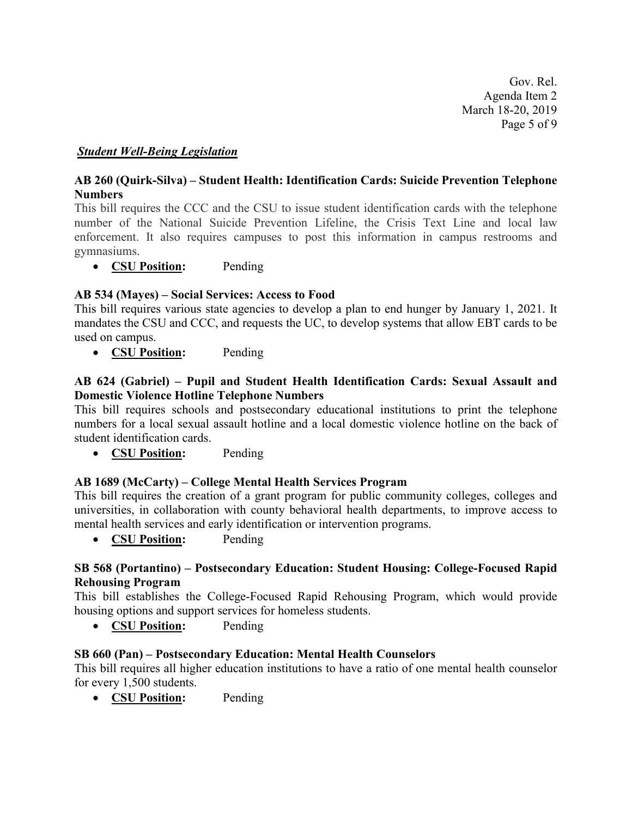Gov. Rel. Agenda Item 2 March 18-20, 2019 Page 5 of 9

### *Student Well-Being Legislation*

### **AB 260 (Quirk-Silva) – Student Health: Identification Cards: Suicide Prevention Telephone Numbers**

This bill requires the CCC and the CSU to issue student identification cards with the telephone number of the National Suicide Prevention Lifeline, the Crisis Text Line and local law enforcement. It also requires campuses to post this information in campus restrooms and gymnasiums.

• **CSU Position:** Pending

### **AB 534 (Mayes) – Social Services: Access to Food**

This bill requires various state agencies to develop a plan to end hunger by January 1, 2021. It mandates the CSU and CCC, and requests the UC, to develop systems that allow EBT cards to be used on campus.

• **CSU Position:** Pending

### **AB 624 (Gabriel) – Pupil and Student Health Identification Cards: Sexual Assault and Domestic Violence Hotline Telephone Numbers**

This bill requires schools and postsecondary educational institutions to print the telephone numbers for a local sexual assault hotline and a local domestic violence hotline on the back of student identification cards.

• **CSU Position:** Pending

#### **AB 1689 (McCarty) – College Mental Health Services Program**

This bill requires the creation of a grant program for public community colleges, colleges and universities, in collaboration with county behavioral health departments, to improve access to mental health services and early identification or intervention programs.

• **CSU Position:** Pending

#### **SB 568 (Portantino) – Postsecondary Education: Student Housing: College-Focused Rapid Rehousing Program**

This bill establishes the College-Focused Rapid Rehousing Program, which would provide housing options and support services for homeless students.

• **CSU Position:** Pending

#### **SB 660 (Pan) – Postsecondary Education: Mental Health Counselors**

This bill requires all higher education institutions to have a ratio of one mental health counselor for every 1,500 students.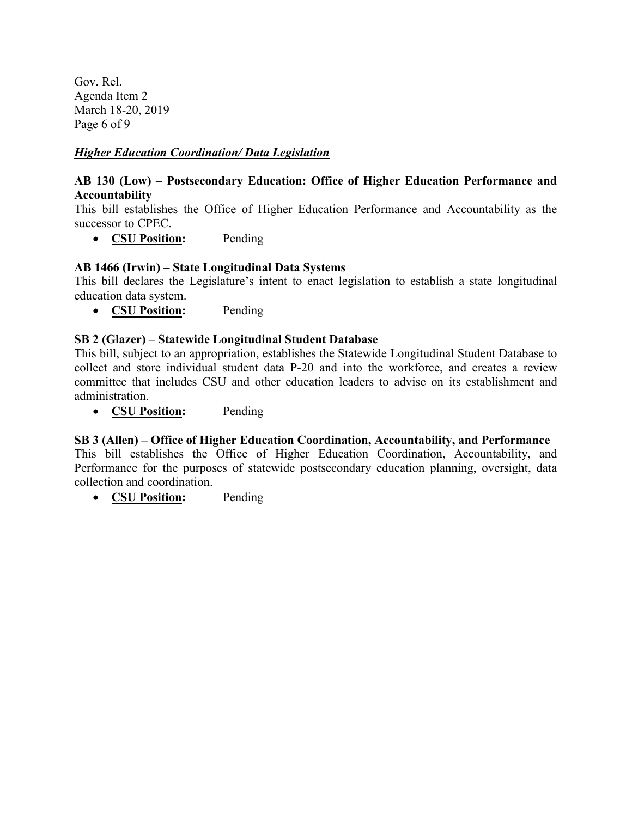Gov. Rel. Agenda Item 2 March 18-20, 2019 Page 6 of 9

# *Higher Education Coordination/ Data Legislation*

## **AB 130 (Low) – Postsecondary Education: Office of Higher Education Performance and Accountability**

This bill establishes the Office of Higher Education Performance and Accountability as the successor to CPEC.

• **CSU Position:** Pending

# **AB 1466 (Irwin) – State Longitudinal Data Systems**

This bill declares the Legislature's intent to enact legislation to establish a state longitudinal education data system.

• **CSU Position:** Pending

### **SB 2 (Glazer) – Statewide Longitudinal Student Database**

This bill, subject to an appropriation, establishes the Statewide Longitudinal Student Database to collect and store individual student data P-20 and into the workforce, and creates a review committee that includes CSU and other education leaders to advise on its establishment and administration.

• **CSU Position:** Pending

# **SB 3 (Allen) – Office of Higher Education Coordination, Accountability, and Performance**

This bill establishes the Office of Higher Education Coordination, Accountability, and Performance for the purposes of statewide postsecondary education planning, oversight, data collection and coordination.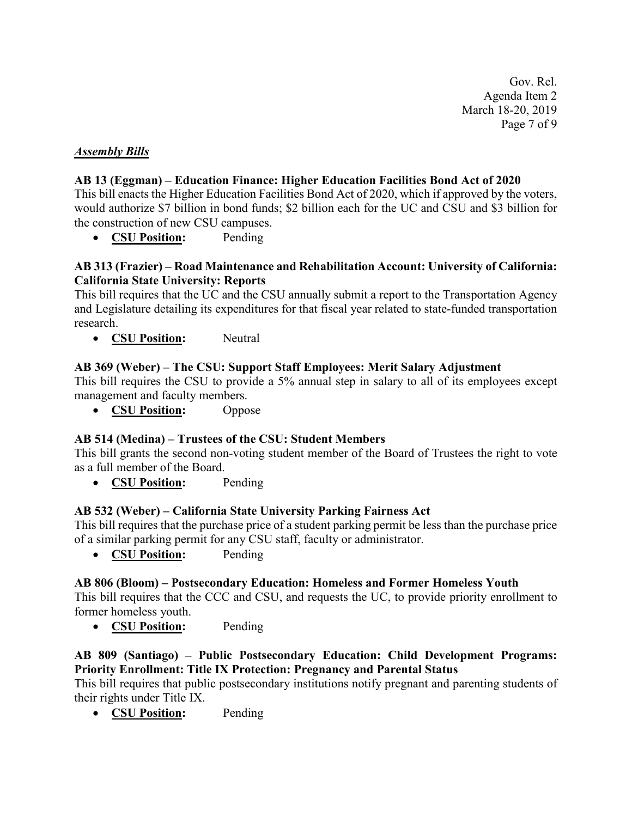Gov. Rel. Agenda Item 2 March 18-20, 2019 Page 7 of 9

### *Assembly Bills*

### **AB 13 (Eggman) – Education Finance: Higher Education Facilities Bond Act of 2020**

This bill enacts the Higher Education Facilities Bond Act of 2020, which if approved by the voters, would authorize \$7 billion in bond funds; \$2 billion each for the UC and CSU and \$3 billion for the construction of new CSU campuses.

• **CSU Position:** Pending

### **AB 313 (Frazier) – Road Maintenance and Rehabilitation Account: University of California: California State University: Reports**

This bill requires that the UC and the CSU annually submit a report to the Transportation Agency and Legislature detailing its expenditures for that fiscal year related to state-funded transportation research.

• **CSU Position:** Neutral

### **AB 369 (Weber) – The CSU: Support Staff Employees: Merit Salary Adjustment**

This bill requires the CSU to provide a 5% annual step in salary to all of its employees except management and faculty members.

• **CSU Position:** Oppose

#### **AB 514 (Medina) – Trustees of the CSU: Student Members**

This bill grants the second non-voting student member of the Board of Trustees the right to vote as a full member of the Board.

• **CSU Position:** Pending

#### **AB 532 (Weber) – California State University Parking Fairness Act**

This bill requires that the purchase price of a student parking permit be less than the purchase price of a similar parking permit for any CSU staff, faculty or administrator.

• **CSU Position:** Pending

#### **AB 806 (Bloom) – Postsecondary Education: Homeless and Former Homeless Youth**

This bill requires that the CCC and CSU, and requests the UC, to provide priority enrollment to former homeless youth.

• **CSU Position:** Pending

# **AB 809 (Santiago) – Public Postsecondary Education: Child Development Programs: Priority Enrollment: Title IX Protection: Pregnancy and Parental Status**

This bill requires that public postsecondary institutions notify pregnant and parenting students of their rights under Title IX.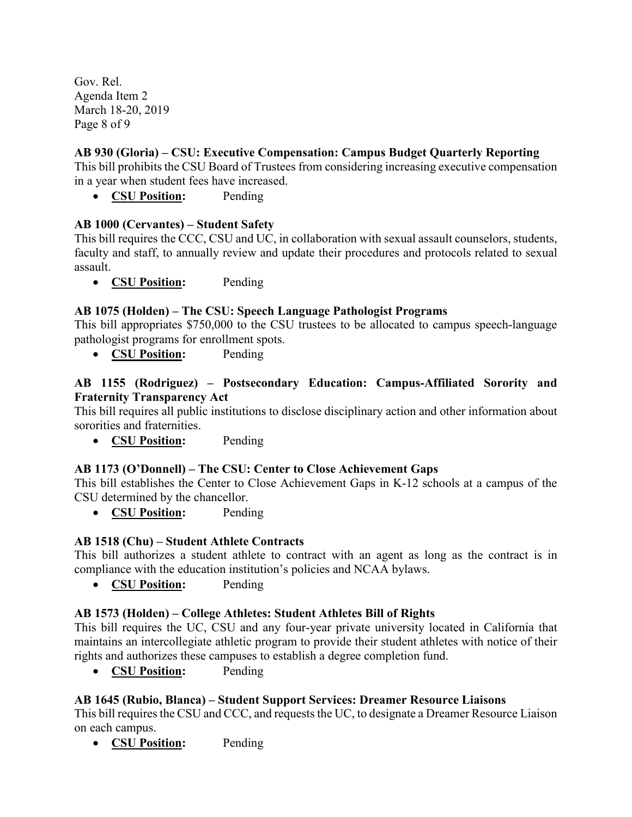Gov. Rel. Agenda Item 2 March 18-20, 2019 Page 8 of 9

# **AB 930 (Gloria) – CSU: Executive Compensation: Campus Budget Quarterly Reporting**

This bill prohibits the CSU Board of Trustees from considering increasing executive compensation in a year when student fees have increased.

• **CSU Position:** Pending

# **AB 1000 (Cervantes) – Student Safety**

This bill requires the CCC, CSU and UC, in collaboration with sexual assault counselors, students, faculty and staff, to annually review and update their procedures and protocols related to sexual assault.

• **CSU Position:** Pending

### **AB 1075 (Holden) – The CSU: Speech Language Pathologist Programs**

This bill appropriates \$750,000 to the CSU trustees to be allocated to campus speech-language pathologist programs for enrollment spots.

• **CSU Position:** Pending

## **AB 1155 (Rodriguez) – Postsecondary Education: Campus-Affiliated Sorority and Fraternity Transparency Act**

This bill requires all public institutions to disclose disciplinary action and other information about sororities and fraternities.

• **CSU Position:** Pending

#### **AB 1173 (O'Donnell) – The CSU: Center to Close Achievement Gaps**

This bill establishes the Center to Close Achievement Gaps in K-12 schools at a campus of the CSU determined by the chancellor.

• **CSU Position:** Pending

# **AB 1518 (Chu) – Student Athlete Contracts**

This bill authorizes a student athlete to contract with an agent as long as the contract is in compliance with the education institution's policies and NCAA bylaws.

• **CSU Position:** Pending

#### **AB 1573 (Holden) – College Athletes: Student Athletes Bill of Rights**

This bill requires the UC, CSU and any four-year private university located in California that maintains an intercollegiate athletic program to provide their student athletes with notice of their rights and authorizes these campuses to establish a degree completion fund.

• **CSU Position:** Pending

# **AB 1645 (Rubio, Blanca) – Student Support Services: Dreamer Resource Liaisons**

This bill requires the CSU and CCC, and requests the UC, to designate a Dreamer Resource Liaison on each campus.